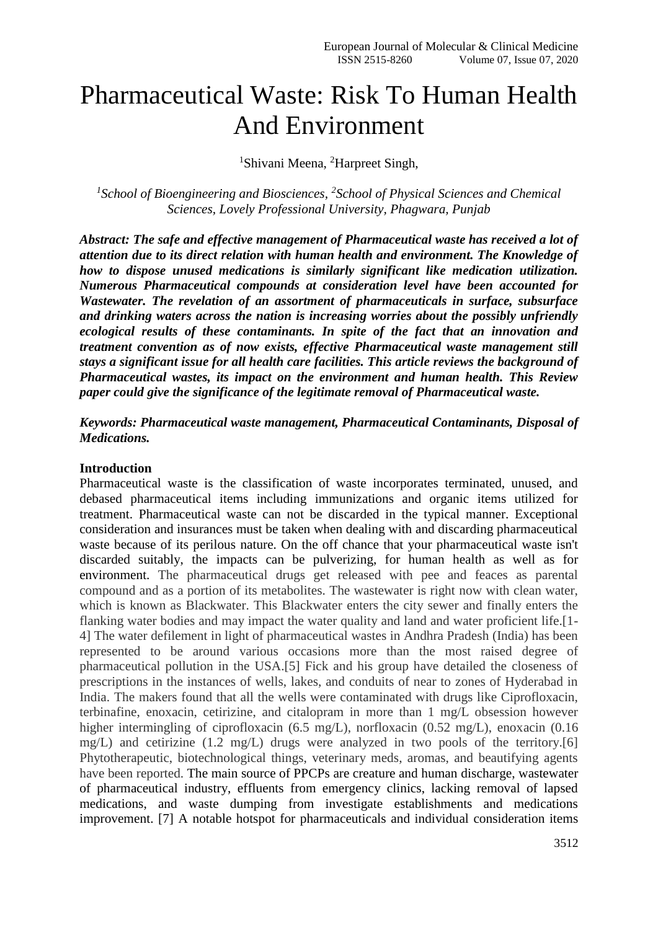# Pharmaceutical Waste: Risk To Human Health And Environment

<sup>1</sup>Shivani Meena, <sup>2</sup>Harpreet Singh,

*1 School of Bioengineering and Biosciences, <sup>2</sup> School of Physical Sciences and Chemical Sciences, Lovely Professional University, Phagwara, Punjab*

*Abstract: The safe and effective management of Pharmaceutical waste has received a lot of attention due to its direct relation with human health and environment. The Knowledge of how to dispose unused medications is similarly significant like medication utilization. Numerous Pharmaceutical compounds at consideration level have been accounted for Wastewater. The revelation of an assortment of pharmaceuticals in surface, subsurface and drinking waters across the nation is increasing worries about the possibly unfriendly ecological results of these contaminants. In spite of the fact that an innovation and treatment convention as of now exists, effective Pharmaceutical waste management still stays a significant issue for all health care facilities. This article reviews the background of Pharmaceutical wastes, its impact on the environment and human health. This Review paper could give the significance of the legitimate removal of Pharmaceutical waste.*

*Keywords: Pharmaceutical waste management, Pharmaceutical Contaminants, Disposal of Medications.*

#### **Introduction**

Pharmaceutical waste is the classification of waste incorporates terminated, unused, and debased pharmaceutical items including immunizations and organic items utilized for treatment. Pharmaceutical waste can not be discarded in the typical manner. Exceptional consideration and insurances must be taken when dealing with and discarding pharmaceutical waste because of its perilous nature. On the off chance that your pharmaceutical waste isn't discarded suitably, the impacts can be pulverizing, for human health as well as for environment. The pharmaceutical drugs get released with pee and feaces as parental compound and as a portion of its metabolites. The wastewater is right now with clean water, which is known as Blackwater. This Blackwater enters the city sewer and finally enters the flanking water bodies and may impact the water quality and land and water proficient life.[1- 4] The water defilement in light of pharmaceutical wastes in Andhra Pradesh (India) has been represented to be around various occasions more than the most raised degree of pharmaceutical pollution in the USA.[5] Fick and his group have detailed the closeness of prescriptions in the instances of wells, lakes, and conduits of near to zones of Hyderabad in India. The makers found that all the wells were contaminated with drugs like Ciprofloxacin, terbinafine, enoxacin, cetirizine, and citalopram in more than 1 mg/L obsession however higher intermingling of ciprofloxacin (6.5 mg/L), norfloxacin (0.52 mg/L), enoxacin (0.16 mg/L) and cetirizine (1.2 mg/L) drugs were analyzed in two pools of the territory.[6] Phytotherapeutic, biotechnological things, veterinary meds, aromas, and beautifying agents have been reported. The main source of PPCPs are creature and human discharge, wastewater of pharmaceutical industry, effluents from emergency clinics, lacking removal of lapsed medications, and waste dumping from investigate establishments and medications improvement. [7] A notable hotspot for pharmaceuticals and individual consideration items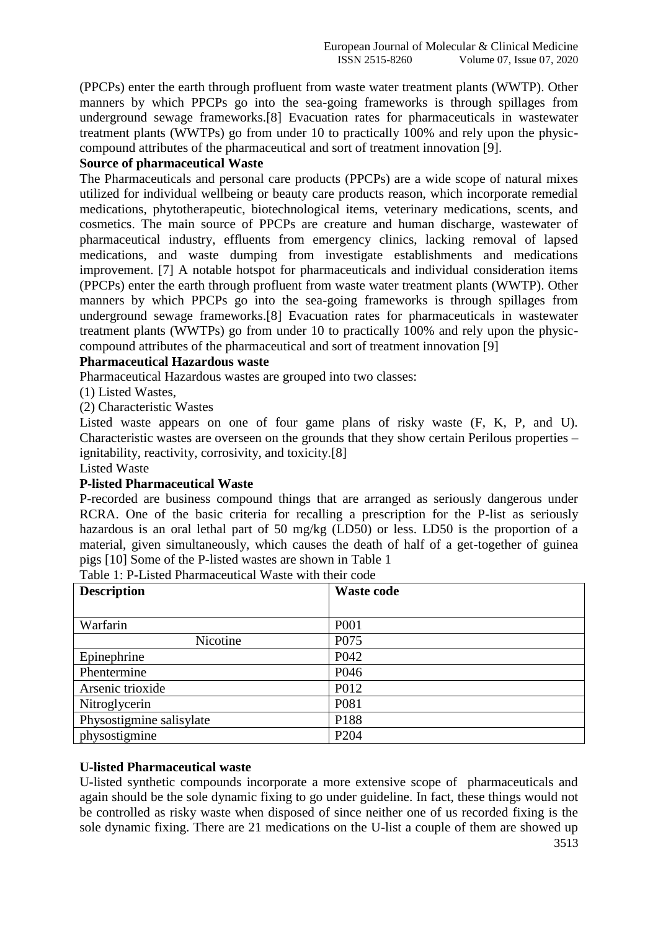(PPCPs) enter the earth through profluent from waste water treatment plants (WWTP). Other manners by which PPCPs go into the sea-going frameworks is through spillages from underground sewage frameworks.[8] Evacuation rates for pharmaceuticals in wastewater treatment plants (WWTPs) go from under 10 to practically 100% and rely upon the physiccompound attributes of the pharmaceutical and sort of treatment innovation [9].

## **Source of pharmaceutical Waste**

The Pharmaceuticals and personal care products (PPCPs) are a wide scope of natural mixes utilized for individual wellbeing or beauty care products reason, which incorporate remedial medications, phytotherapeutic, biotechnological items, veterinary medications, scents, and cosmetics. The main source of PPCPs are creature and human discharge, wastewater of pharmaceutical industry, effluents from emergency clinics, lacking removal of lapsed medications, and waste dumping from investigate establishments and medications improvement. [7] A notable hotspot for pharmaceuticals and individual consideration items (PPCPs) enter the earth through profluent from waste water treatment plants (WWTP). Other manners by which PPCPs go into the sea-going frameworks is through spillages from underground sewage frameworks.[8] Evacuation rates for pharmaceuticals in wastewater treatment plants (WWTPs) go from under 10 to practically 100% and rely upon the physiccompound attributes of the pharmaceutical and sort of treatment innovation [9]

## **Pharmaceutical Hazardous waste**

Pharmaceutical Hazardous wastes are grouped into two classes:

(1) Listed Wastes,

(2) Characteristic Wastes

Listed waste appears on one of four game plans of risky waste (F, K, P, and U). Characteristic wastes are overseen on the grounds that they show certain Perilous properties – ignitability, reactivity, corrosivity, and toxicity.[8]

Listed Waste

### **P-listed Pharmaceutical Waste**

P-recorded are business compound things that are arranged as seriously dangerous under RCRA. One of the basic criteria for recalling a prescription for the P-list as seriously hazardous is an oral lethal part of 50 mg/kg (LD50) or less. LD50 is the proportion of a material, given simultaneously, which causes the death of half of a get-together of guinea pigs [10] Some of the P-listed wastes are shown in Table 1

| <b>Description</b>       | <b>Waste code</b> |  |  |
|--------------------------|-------------------|--|--|
|                          |                   |  |  |
| Warfarin                 | P <sub>001</sub>  |  |  |
| Nicotine                 | P <sub>075</sub>  |  |  |
| Epinephrine              | P <sub>042</sub>  |  |  |
| Phentermine              | P <sub>046</sub>  |  |  |
| Arsenic trioxide         | P012              |  |  |
| Nitroglycerin            | P081              |  |  |
| Physostigmine salisylate | P188              |  |  |
| physostigmine            | P <sub>204</sub>  |  |  |

# **U-listed Pharmaceutical waste**

U-listed synthetic compounds incorporate a more extensive scope of pharmaceuticals and again should be the sole dynamic fixing to go under guideline. In fact, these things would not be controlled as risky waste when disposed of since neither one of us recorded fixing is the sole dynamic fixing. There are 21 medications on the U-list a couple of them are showed up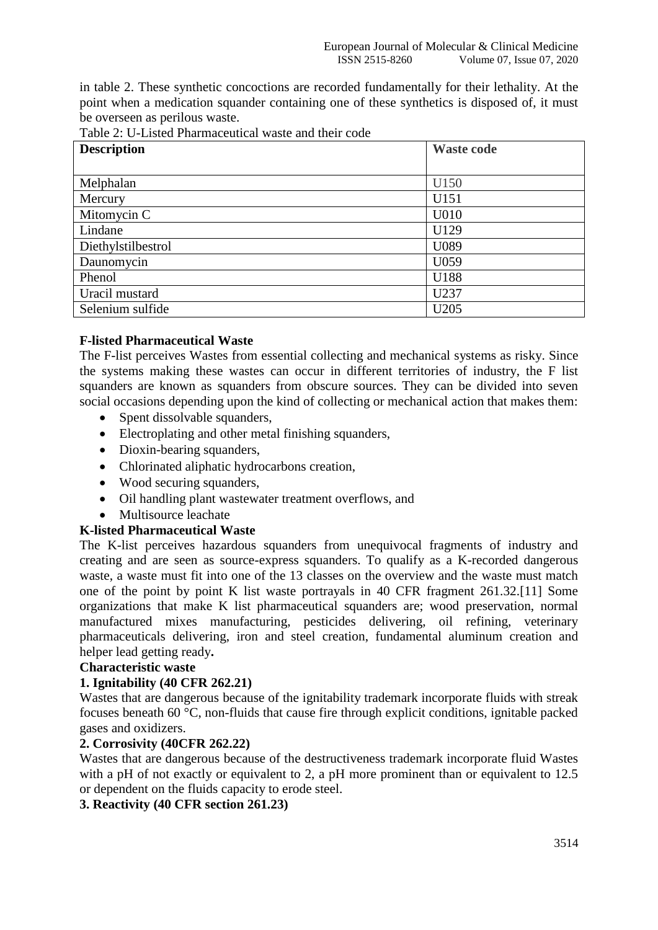in table 2. These synthetic concoctions are recorded fundamentally for their lethality. At the point when a medication squander containing one of these synthetics is disposed of, it must be overseen as perilous waste.

| <b>Description</b> | <b>Waste code</b> |  |  |
|--------------------|-------------------|--|--|
|                    |                   |  |  |
| Melphalan          | U150              |  |  |
| Mercury            | U151              |  |  |
| Mitomycin C        | U010              |  |  |
| Lindane            | U129              |  |  |
| Diethylstilbestrol | U089              |  |  |
| Daunomycin         | U059              |  |  |
| Phenol             | U188              |  |  |
| Uracil mustard     | U237              |  |  |
| Selenium sulfide   | U <sub>205</sub>  |  |  |

| Table 2: U-Listed Pharmaceutical waste and their code |  |
|-------------------------------------------------------|--|

### **F-listed Pharmaceutical Waste**

The F-list perceives Wastes from essential collecting and mechanical systems as risky. Since the systems making these wastes can occur in different territories of industry, the F list squanders are known as squanders from obscure sources. They can be divided into seven social occasions depending upon the kind of collecting or mechanical action that makes them:

- Spent dissolvable squanders,
- Electroplating and other metal finishing squanders,
- Dioxin-bearing squanders,
- Chlorinated aliphatic hydrocarbons creation.
- Wood securing squanders,
- Oil handling plant wastewater treatment overflows, and
- Multisource leachate

# **K-listed Pharmaceutical Waste**

The K-list perceives hazardous squanders from unequivocal fragments of industry and creating and are seen as source-express squanders. To qualify as a K-recorded dangerous waste, a waste must fit into one of the 13 classes on the overview and the waste must match one of the point by point K list waste portrayals in 40 CFR fragment 261.32.[11] Some organizations that make K list pharmaceutical squanders are; wood preservation, normal manufactured mixes manufacturing, pesticides delivering, oil refining, veterinary pharmaceuticals delivering, iron and steel creation, fundamental aluminum creation and helper lead getting ready**.**

### **Characteristic waste**

### **1. Ignitability (40 CFR 262.21)**

Wastes that are dangerous because of the ignitability trademark incorporate fluids with streak focuses beneath 60 °C, non-fluids that cause fire through explicit conditions, ignitable packed gases and oxidizers.

### **2. Corrosivity (40CFR 262.22)**

Wastes that are dangerous because of the destructiveness trademark incorporate fluid Wastes with a pH of not exactly or equivalent to 2, a pH more prominent than or equivalent to 12.5 or dependent on the fluids capacity to erode steel.

**3. Reactivity (40 CFR section 261.23)**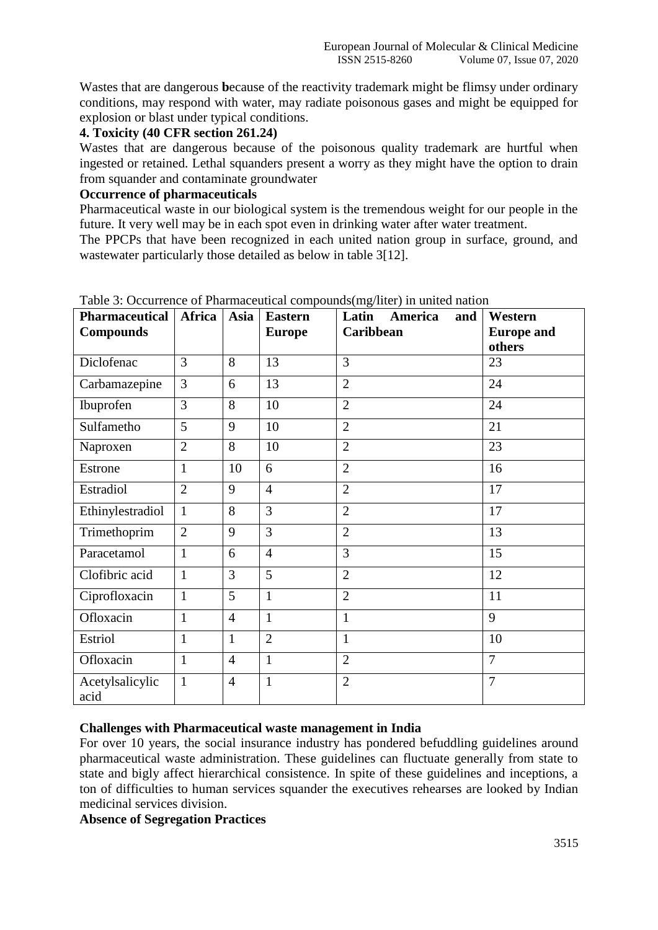Wastes that are dangerous **b**ecause of the reactivity trademark might be flimsy under ordinary conditions, may respond with water, may radiate poisonous gases and might be equipped for explosion or blast under typical conditions.

## **4. Toxicity (40 CFR section 261.24)**

Wastes that are dangerous because of the poisonous quality trademark are hurtful when ingested or retained. Lethal squanders present a worry as they might have the option to drain from squander and contaminate groundwater

## **Occurrence of pharmaceuticals**

Pharmaceutical waste in our biological system is the tremendous weight for our people in the future. It very well may be in each spot even in drinking water after water treatment.

The PPCPs that have been recognized in each united nation group in surface, ground, and wastewater particularly those detailed as below in table 3[12].

| <b>Pharmaceutical</b><br><b>Compounds</b> | Africa         | Asia           | <b>Eastern</b><br><b>Europe</b> | Latin<br>America<br>and<br>Caribbean | Western<br><b>Europe and</b><br>others |
|-------------------------------------------|----------------|----------------|---------------------------------|--------------------------------------|----------------------------------------|
| Diclofenac                                | 3              | 8              | 13                              | 3                                    | 23                                     |
| Carbamazepine                             | 3              | 6              | 13                              | $\overline{2}$                       | 24                                     |
| Ibuprofen                                 | 3              | 8              | 10                              | $\overline{2}$                       | 24                                     |
| Sulfametho                                | 5              | 9              | 10                              | $\overline{2}$                       | 21                                     |
| Naproxen                                  | $\overline{2}$ | 8              | 10                              | $\overline{2}$                       | 23                                     |
| Estrone                                   | $\mathbf{1}$   | 10             | 6                               | $\overline{2}$                       | 16                                     |
| Estradiol                                 | $\overline{2}$ | 9              | $\overline{4}$                  | $\overline{2}$                       | 17                                     |
| Ethinylestradiol                          | $\mathbf{1}$   | 8              | 3                               | $\overline{2}$                       | 17                                     |
| Trimethoprim                              | $\overline{2}$ | 9              | 3                               | $\overline{2}$                       | 13                                     |
| Paracetamol                               | $\mathbf{1}$   | 6              | $\overline{4}$                  | $\overline{3}$                       | 15                                     |
| Clofibric acid                            | $\mathbf{1}$   | 3              | 5                               | $\overline{2}$                       | 12                                     |
| Ciprofloxacin                             | $\mathbf{1}$   | 5              | $\mathbf{1}$                    | $\overline{2}$                       | 11                                     |
| Ofloxacin                                 | $\mathbf{1}$   | $\overline{4}$ | $\mathbf{1}$                    | $\mathbf{1}$                         | 9                                      |
| Estriol                                   | $\mathbf{1}$   | $\mathbf{1}$   | $\overline{2}$                  | $\mathbf{1}$                         | 10                                     |
| Ofloxacin                                 | $\mathbf{1}$   | $\overline{4}$ | $\mathbf{1}$                    | $\overline{2}$                       | $\overline{7}$                         |
| Acetylsalicylic<br>acid                   | $\mathbf{1}$   | $\overline{4}$ | $\mathbf{1}$                    | $\overline{2}$                       | $\overline{7}$                         |

Table 3: Occurrence of Pharmaceutical compounds(mg/liter) in united nation

# **Challenges with Pharmaceutical waste management in India**

For over 10 years, the social insurance industry has pondered befuddling guidelines around pharmaceutical waste administration. These guidelines can fluctuate generally from state to state and bigly affect hierarchical consistence. In spite of these guidelines and inceptions, a ton of difficulties to human services squander the executives rehearses are looked by Indian medicinal services division.

## **Absence of Segregation Practices**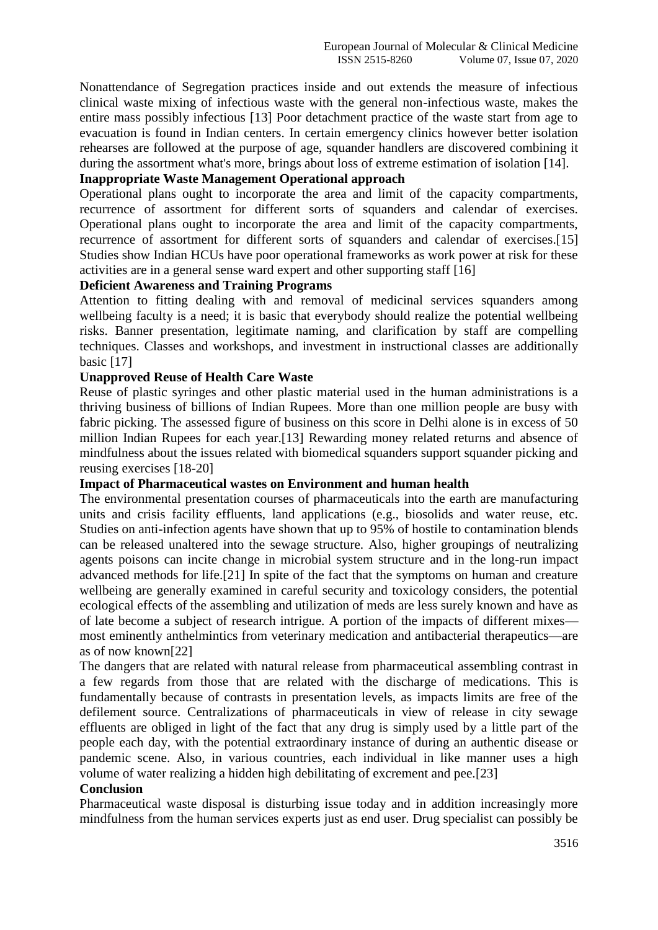Nonattendance of Segregation practices inside and out extends the measure of infectious clinical waste mixing of infectious waste with the general non-infectious waste, makes the entire mass possibly infectious [13] Poor detachment practice of the waste start from age to evacuation is found in Indian centers. In certain emergency clinics however better isolation rehearses are followed at the purpose of age, squander handlers are discovered combining it during the assortment what's more, brings about loss of extreme estimation of isolation [14].

# **Inappropriate Waste Management Operational approach**

Operational plans ought to incorporate the area and limit of the capacity compartments, recurrence of assortment for different sorts of squanders and calendar of exercises. Operational plans ought to incorporate the area and limit of the capacity compartments, recurrence of assortment for different sorts of squanders and calendar of exercises.[15] Studies show Indian HCUs have poor operational frameworks as work power at risk for these activities are in a general sense ward expert and other supporting staff [16]

### **Deficient Awareness and Training Programs**

Attention to fitting dealing with and removal of medicinal services squanders among wellbeing faculty is a need; it is basic that everybody should realize the potential wellbeing risks. Banner presentation, legitimate naming, and clarification by staff are compelling techniques. Classes and workshops, and investment in instructional classes are additionally basic [17]

#### **Unapproved Reuse of Health Care Waste**

Reuse of plastic syringes and other plastic material used in the human administrations is a thriving business of billions of Indian Rupees. More than one million people are busy with fabric picking. The assessed figure of business on this score in Delhi alone is in excess of 50 million Indian Rupees for each year.[13] Rewarding money related returns and absence of mindfulness about the issues related with biomedical squanders support squander picking and reusing exercises [18-20]

#### **Impact of Pharmaceutical wastes on Environment and human health**

The environmental presentation courses of pharmaceuticals into the earth are manufacturing units and crisis facility effluents, land applications (e.g., biosolids and water reuse, etc. Studies on anti-infection agents have shown that up to 95% of hostile to contamination blends can be released unaltered into the sewage structure. Also, higher groupings of neutralizing agents poisons can incite change in microbial system structure and in the long-run impact advanced methods for life.[21] In spite of the fact that the symptoms on human and creature wellbeing are generally examined in careful security and toxicology considers, the potential ecological effects of the assembling and utilization of meds are less surely known and have as of late become a subject of research intrigue. A portion of the impacts of different mixes most eminently anthelmintics from veterinary medication and antibacterial therapeutics—are as of now known[22]

The dangers that are related with natural release from pharmaceutical assembling contrast in a few regards from those that are related with the discharge of medications. This is fundamentally because of contrasts in presentation levels, as impacts limits are free of the defilement source. Centralizations of pharmaceuticals in view of release in city sewage effluents are obliged in light of the fact that any drug is simply used by a little part of the people each day, with the potential extraordinary instance of during an authentic disease or pandemic scene. Also, in various countries, each individual in like manner uses a high volume of water realizing a hidden high debilitating of excrement and pee.[23]

#### **Conclusion**

Pharmaceutical waste disposal is disturbing issue today and in addition increasingly more mindfulness from the human services experts just as end user. Drug specialist can possibly be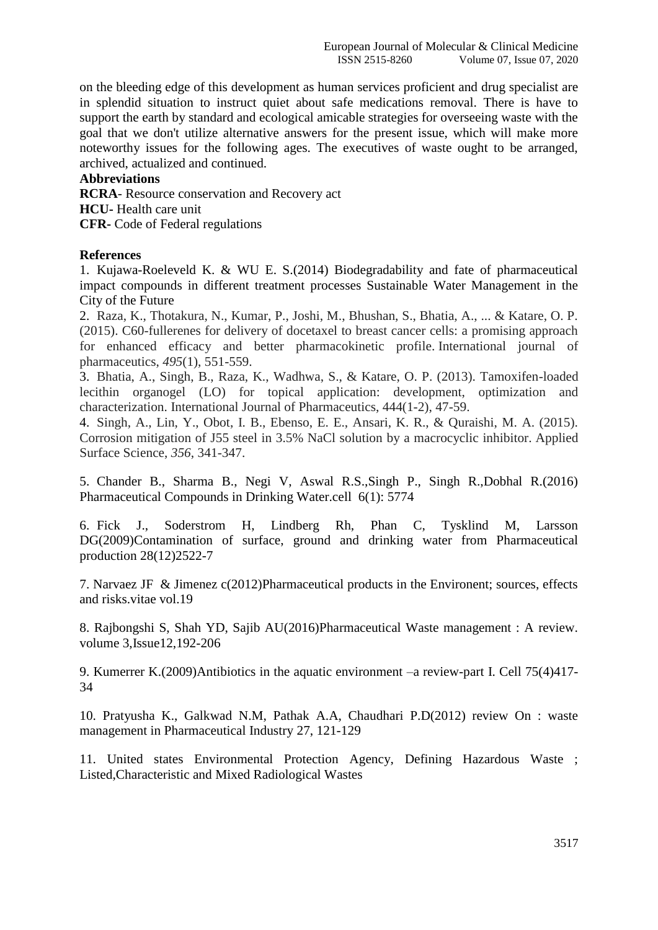on the bleeding edge of this development as human services proficient and drug specialist are in splendid situation to instruct quiet about safe medications removal. There is have to support the earth by standard and ecological amicable strategies for overseeing waste with the goal that we don't utilize alternative answers for the present issue, which will make more noteworthy issues for the following ages. The executives of waste ought to be arranged, archived, actualized and continued.

### **Abbreviations**

**RCRA**- Resource conservation and Recovery act **HCU-** Health care unit **CFR-** Code of Federal regulations

#### **References**

1. Kujawa-Roeleveld K. & WU E. S.(2014) Biodegradability and fate of pharmaceutical impact compounds in different treatment processes Sustainable Water Management in the City of the Future

2. Raza, K., Thotakura, N., Kumar, P., Joshi, M., Bhushan, S., Bhatia, A., ... & Katare, O. P. (2015). C60-fullerenes for delivery of docetaxel to breast cancer cells: a promising approach for enhanced efficacy and better pharmacokinetic profile. International journal of pharmaceutics, *495*(1), 551-559.

3. Bhatia, A., Singh, B., Raza, K., Wadhwa, S., & Katare, O. P. (2013). Tamoxifen-loaded lecithin organogel (LO) for topical application: development, optimization and characterization. International Journal of Pharmaceutics, 444(1-2), 47-59.

4. Singh, A., Lin, Y., Obot, I. B., Ebenso, E. E., Ansari, K. R., & Quraishi, M. A. (2015). Corrosion mitigation of J55 steel in 3.5% NaCl solution by a macrocyclic inhibitor. Applied Surface Science, *356*, 341-347.

5. Chander B., Sharma B., Negi V, Aswal R.S.,Singh P., Singh R.,Dobhal R.(2016) Pharmaceutical Compounds in Drinking Water.cell 6(1): 5774

6. Fick J., Soderstrom H, Lindberg Rh, Phan C, Tysklind M, Larsson DG(2009)Contamination of surface, ground and drinking water from Pharmaceutical production 28(12)2522-7

7. Narvaez JF & Jimenez c(2012)Pharmaceutical products in the Environent; sources, effects and risks.vitae vol.19

8. Rajbongshi S, Shah YD, Sajib AU(2016)Pharmaceutical Waste management : A review. volume 3,Issue12,192-206

9. Kumerrer K.(2009)Antibiotics in the aquatic environment –a review-part I. Cell 75(4)417- 34

10. Pratyusha K., Galkwad N.M, Pathak A.A, Chaudhari P.D(2012) review On : waste management in Pharmaceutical Industry 27, 121-129

11. United states Environmental Protection Agency, Defining Hazardous Waste ; Listed,Characteristic and Mixed Radiological Wastes